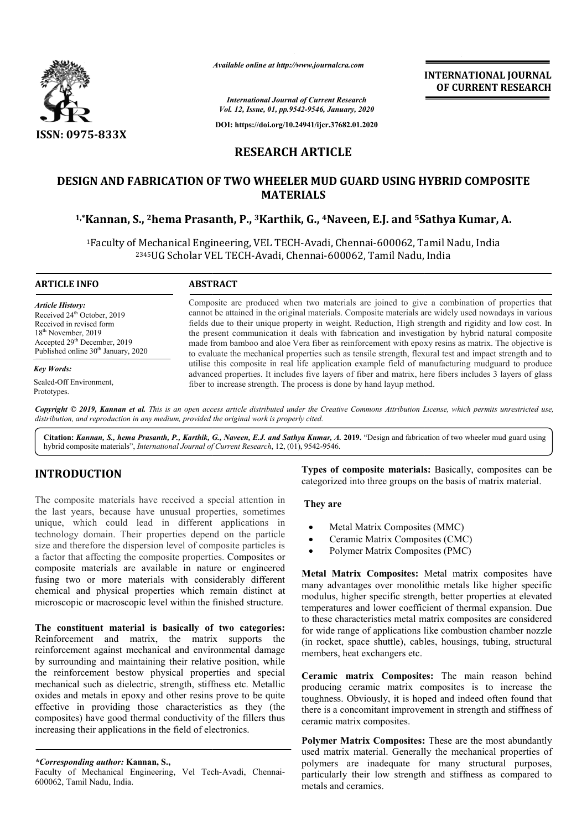

*Available online at http://www.journalcra.com*

**INTERNATIONAL JOURNAL OF CURRENT RESEARCH**

*International Journal of Current Research Vol. 12, Issue, 01, pp.9542-9546, January, 2020*

**DOI: https://doi.org/10.24941/ijcr.37682.01.2020**

# **RESEARCH ARTICLE**

# **DESIGN AND FABRICATION OF TWO WHEELER MUD GUARD USING HYBRID COMPOSITE 1,\*Kannan, S., 2hema Prasanth, P., hema 3Karthik, G., 4Naveen, E.J. and 5Sathya Kumar, A. USING HYBRID Sathya Kumar, A.MATERIALS**

<sup>1</sup>Faculty of Mechanical Engineering, VEL TECH-Avadi, Chennai-600062, Tamil Nadu, India <sup>2345</sup>UG Scholar VEL TECH-Avadi, Chennai-600062, Tamil Nadu, India

#### **ARTICLE INFO ABSTRACT**

*Article History:* Received 24<sup>th</sup> October, 2019 Received in revised form 18th November, 2019 Accepted 29<sup>th</sup> December, 2019 Published online 30<sup>th</sup> January, 2020

*Key Words:*

Sealed-Off Environment, Prototypes.

Composite are produced when two materials are joined to give a combination of properties that cannot be attained in the original materials. Composite materials are widely used nowadays in various fields due to their unique property in weight. Reduction, High strength and rigidity and low cost. In the present communication it deals with fabrication and investigation by hybrid natural composite made from bamboo and aloe Vera fiber as reinforcement with epoxy resins as matrix. The objective is to evaluate the mechanical properties such as tensile strength, flexural test and impact strength and to utilise this composite in real life application example field of manufacturing mudguard to produce advanced properties. It includes five layers of fiber and matrix, here fibers includes 3 layers of glass fiber to increase strength. The process is done by hand layup method. Composite are produced when two materials are joined to give a combination of properties that cannot be attained in the original materials. Composite materials are widely used nowadays in various fields due to their unique INTERNATIONAL JOURNAL<br>
for COURRENT RESEARCH<br>
For structure<br> *OF* CURRENT RESEARCH<br> **OF CURRENT RESEARCH**<br> **OF CURRENT RESEARCH**<br> **ARTICLE**<br> **RMUD GUARD USING HYBRID COMPOSITE**<br> **ARTICLE**<br> **RMUD GUARD USING HYBRID COMPOSIT** 

Copyright © 2019, Kannan et al. This is an open access article distributed under the Creative Commons Attribution License, which permits unrestricted use, *distribution, and reproduction in any medium, provided the original work is properly cited.*

Citation: Kannan, S., hema Prasanth, P., Karthik, G., Naveen, E.J. and Sathya Kumar, A. 2019. "Design and fabrication of two wheeler mud guard using hybrid composite materials", *International Journal of Current Research*, 12, (01), 9542-9546.

## **INTRODUCTION**

The composite materials have received a special attention in the last years, because have unusual properties, sometimes unique, which could lead in different applications in technology domain. Their properties depend on the particle size and therefore the dispersion level of composite particles is a factor that affecting the composite properties. Composites or composite materials are available in nature or engineered fusing two or more materials with considerably different chemical and physical properties which remain distinct at microscopic or macroscopic level within the finished structure.

**The constituent material is basically of two categories:**  Reinforcement and matrix, the matrix supports the reinforcement against mechanical and environmental damage by surrounding and maintaining their relative position, while the reinforcement bestow physical properties and special mechanical such as dielectric, strength, stiffness etc. Metallic oxides and metals in epoxy and other resins prove to be quite effective in providing those characteristics as they (the composites) have good thermal conductivity of the fillers thus increasing their applications in the field of electronics. w physical properties and special<br>ctric, strength, stiffness etc. Metallic<br>xy and other resins prove to be quite<br>those characteristics as they (the<br>ermal conductivity of the fillers thus<br>ns in the field of electronics.<br>nna

*\*Corresponding author:* **Kannan, S.,** 

Faculty of Mechanical Engineering, Vel Tech-Avadi, Chennai-600062, Tamil Nadu, India.

Types of composite materials: Basically, composites can be categorized into three groups on the basis of matrix material.

### **They are**

- Metal Matrix Composites (MMC)
- Ceramic Matrix Composites (CMC)
- Polymer Matrix Composites (PMC)

**Metal Matrix Composites:** Metal matrix composites have many advantages over monolithic metals like higher specific modulus, higher specific strength, better properties at elevated temperatures and lower coefficient of thermal expansion. Due to these characteristics metal matrix composites are considered for wide range of applications like combustion chamber nozzle for wide range of applications like combustion chamber nozzle (in rocket, space shuttle), cables, housings, tubing, structural members, heat exchangers etc. Example 1 and the examples on the basis of matrix material.<br>
The Metal Matrix Composites (CMC)<br>
Composites (CMC)<br>
Composites: Metal matrix composites have<br> **Matrix Composites:** Metal matrix composites have<br>
Vantages over m

**Ceramic matrix Composites:** The main reason behind producing ceramic matrix composites is to increase the toughness. Obviously, it is hoped and indeed often found that producing ceramic matrix composites is to increase the toughness. Obviously, it is hoped and indeed often found that there is a concomitant improvement in strength and stiffness of ceramic matrix composites.

Polymer Matrix Composites: These are the most abundantly used matrix material. Generally the mechanical properties of polymers are inadequate for many structural purposes, particularly their low strength and stiffness as compared to metals and ceramics.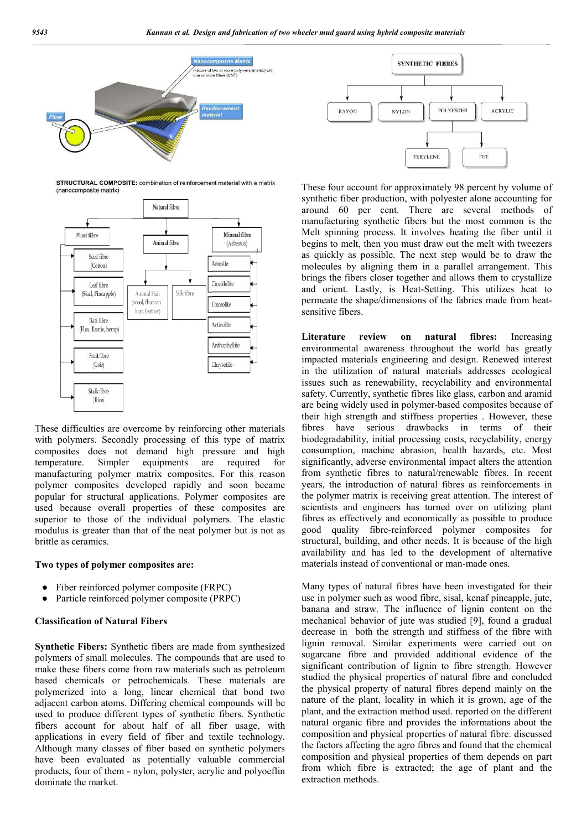

STRUCTURAL COMPOSITE: combination of reinforcement material with a matrix (nanocomposite matrix)



These difficulties are overcome by reinforcing other materials with polymers. Secondly processing of this type of matrix composites does not demand high pressure and high temperature. Simpler equipments are required for manufacturing polymer matrix composites. For this reason polymer composites developed rapidly and soon became popular for structural applications. Polymer composites are used because overall properties of these composites are superior to those of the individual polymers. The elastic modulus is greater than that of the neat polymer but is not as brittle as ceramics. tes.<br>
americase<br>
esee<br>
olym<br>
(FRI)<br>
(FRI)<br>
dade<br>
und:<br>
sical<br>
fries

#### **Two types of polymer composites are:**

- Fiber reinforced polymer composite (FRPC)
- Particle reinforced polymer composite (PRPC)

#### **Classification of Natural Fibers**

**Synthetic Fibers:** Synthetic fibers are made from synthesized polymers of small molecules. The compounds that are used to make these fibers come from raw materials such as petroleum based chemicals or petrochemicals. These materials are polymerized into a long, linear chemical that bond two adjacent carbon atoms. Differing chemical compounds will be used to produce different types of synthetic fibers. Synthetic fibers account for about half of all fiber usage, with applications in every field of fiber and textile technology. Although many classes of fiber based on synthetic polymers have been evaluated as potentially valuable commercial products, four of them - nylon, polyster, acrylic and polyoeflin dominate the market.



These four account for approximately 98 percent by volume of synthetic fiber production, with polyester alone accounting for around 60 per cent. There are several methods of manufacturing synthetic fibers but the most common is the Melt spinning process. It involves heating the fiber until it begins to melt, then you must draw out the melt with tweezers as quickly as possible. The next step would be to draw the molecules by aligning them in a parallel arrangement. This brings the fibers closer together and allows them to crystallize and orient. Lastly, is Heat-Setting. This utilizes heat to permeate the shape/dimensions of the fabrics made from heat sensitive fibers. fiber production, with polyester alone accounting for<br>60 per cent. There are several methods of<br>uring synthetic fibers but the most common is the<br>ming process. It involves heating the fiber until it<br>melt, then you must dra

**Literature review on natural fibres** environmental awareness throughout the world has greatly impacted materials engineering and design. Renewed interest in the utilization of natural materials addresses ecological issues such as renewability, recyclability and environmental safety. Currently, synthetic fibres like glass, carbon and aramid impacted materials engineering and design. Renewed interest<br>in the utilization of natural materials addresses ecological<br>issues such as renewability, recyclability and environmental<br>safety. Currently, synthetic fibres like their high strength and stiffness properties . However, these fibres have serious drawbacks in terms of their biodegradability, initial processing costs, recyclability, energy consumption, machine abrasion, health hazards, etc. Most significantly, adverse environmental impact alters the attention from synthetic fibres to natural/renewable fibres. In recent their high strength and stiffness properties. However, these fibres have serious drawbacks in terms of their biodegradability, initial processing costs, recyclability, energy consumption, machine abrasion, health hazards, the polymer matrix is receiving great attention. The interest of scientists and engineers has turned over on utilizing plant fibres as effectively and economically as possible to produce good quality fibre-reinforced polymer structural, building, and other needs. It is because of the high availability and has led to the development of alternative materials instead of conventional or man **fibres:** Increasing receiving great attention. The interest of<br>ers has turned over on utilizing plant<br>nd economically as possible to produce<br>reinforced polymer composites for structural, building, and other needs. It is because of availability and has led to the development of and materials instead of conventional or man-made ones. *mud guard woing bybrid composite materials*<br> **EXERCT:**<br> **EXERCT:**<br> **EXERCT:**<br> **EXERCT:**<br> **EXERCT:**<br> **EXERCT:**<br> **EXERCT:**<br> **EXERCT:**<br> **EXERCT:**<br> **EXERCT:**<br> **EXERCT:**<br> **EXERCT:**<br> **EXERCT:**<br> **EXERCT:**<br> **EXERCT:**<br> **EXERCT:**<br>

Many types of natural fibres have been investigated for their use in polymer such as wood fibre, sisal, kenaf pineapple, jute, banana and straw. The influence of lignin content on the mechanical behavior of jute was studied [9], found a gradual decrease in both the strength and stiffness of the fibre with lignin removal. Similar experiments were carried out on sugarcane fibre and provided additional evidence of the significant contribution of lignin to fibre strength. However studied the physical properties of natural fibre and concluded the physical property of natural fibres depend mainly on the nature of the plant, locality in which it is grown, age of the plant, and the extraction method used. reported on the different nature of the plant, locality in which it is grown, age of the plant, and the extraction method used. reported on the different natural organic fibre and provides the informations about the composition and physical properties of natural fibre. discussed the factors affecting the agro fibres and found that the chemical composition and physical properties of them depends on part from which fibre is extracted; the age of plant and the extraction methods. Aany types of natural fibres have been investigated for their<br>se in polymer such as wood fibre, sisal, kenaf pineapple, jute,<br>anana and straw. The influence of lignin content on the<br>nechanical behavior of jute was studied is in both the strength and stiffness of the fibre with removal. Similar experiments were carried out on the fibre and provided additional evidence of the natural fibre strength. However the physical properties of natural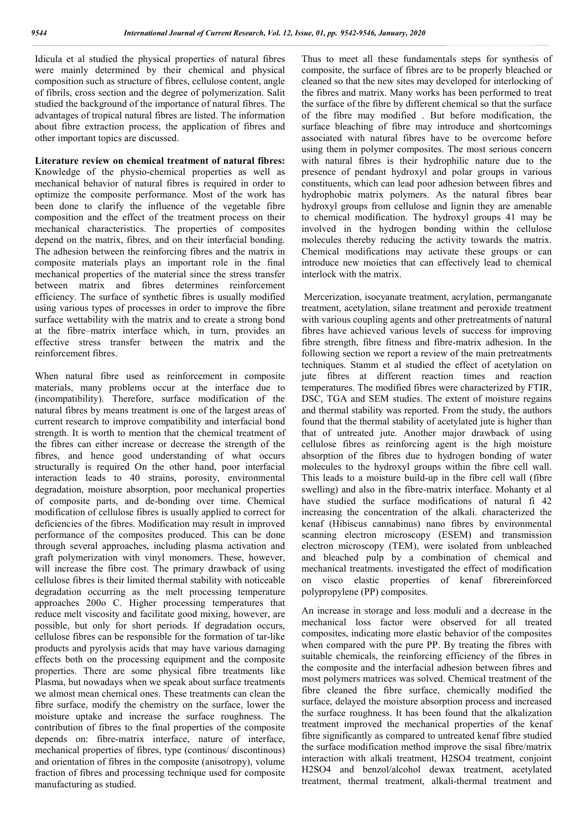Idicula et al studied the physical properties of natural fibres were mainly determined by their chemical and physical composition such as structure of fibres, cellulose content, angle of fibrils, cross section and the degree of polymerization. Salit studied the background of the importance of natural fibres. The advantages of tropical natural fibres are listed. The information about fibre extraction process, the application of fibres and other important topics are discussed.

**Literature review on chemical treatment of natural fibres:** Knowledge of the physio-chemical properties as well as mechanical behavior of natural fibres is required in order to optimize the composite performance. Most of the work has been done to clarify the influence of the vegetable fibre composition and the effect of the treatment process on their mechanical characteristics. The properties of composites depend on the matrix, fibres, and on their interfacial bonding. The adhesion between the reinforcing fibres and the matrix in composite materials plays an important role in the final mechanical properties of the material since the stress transfer between matrix and fibres determines reinforcement efficiency. The surface of synthetic fibres is usually modified using various types of processes in order to improve the fibre surface wettability with the matrix and to create a strong bond at the fibre–matrix interface which, in turn, provides an effective stress transfer between the matrix and the reinforcement fibres.

When natural fibre used as reinforcement in composite materials, many problems occur at the interface due to (incompatibility). Therefore, surface modification of the natural fibres by means treatment is one of the largest areas of current research to improve compatibility and interfacial bond strength. It is worth to mention that the chemical treatment of the fibres can either increase or decrease the strength of the fibres, and hence good understanding of what occurs structurally is required On the other hand, poor interfacial interaction leads to 40 strains, porosity, environmental degradation, moisture absorption, poor mechanical properties of composite parts, and de-bonding over time. Chemical modification of cellulose fibres is usually applied to correct for deficiencies of the fibres. Modification may result in improved performance of the composites produced. This can be done through several approaches, including plasma activation and graft polymerization with vinyl monomers. These, however, will increase the fibre cost. The primary drawback of using cellulose fibres is their limited thermal stability with noticeable degradation occurring as the melt processing temperature approaches 200o C. Higher processing temperatures that reduce melt viscosity and facilitate good mixing, however, are possible, but only for short periods. If degradation occurs, cellulose fibres can be responsible for the formation of tar-like products and pyrolysis acids that may have various damaging effects both on the processing equipment and the composite properties. There are some physical fibre treatments like Plasma, but nowadays when we speak about surface treatments we almost mean chemical ones. These treatments can clean the fibre surface, modify the chemistry on the surface, lower the moisture uptake and increase the surface roughness. The contribution of fibres to the final properties of the composite depends on: fibre-matrix interface, nature of interface, mechanical properties of fibres, type (continous/ discontinous) and orientation of fibres in the composite (anisotropy), volume fraction of fibres and processing technique used for composite manufacturing as studied.

Thus to meet all these fundamentals steps for synthesis of composite, the surface of fibres are to be properly bleached or cleaned so that the new sites may developed for interlocking of the fibres and matrix. Many works has been performed to treat the surface of the fibre by different chemical so that the surface of the fibre may modified . But before modification, the surface bleaching of fibre may introduce and shortcomings associated with natural fibres have to be overcome before using them in polymer composites. The most serious concern with natural fibres is their hydrophilic nature due to the presence of pendant hydroxyl and polar groups in various constituents, which can lead poor adhesion between fibres and hydrophobic matrix polymers. As the natural fibres bear hydroxyl groups from cellulose and lignin they are amenable to chemical modification. The hydroxyl groups 41 may be involved in the hydrogen bonding within the cellulose molecules thereby reducing the activity towards the matrix. Chemical modifications may activate these groups or can introduce new moieties that can effectively lead to chemical interlock with the matrix.

Mercerization, isocyanate treatment, acrylation, permanganate treatment, acetylation, silane treatment and peroxide treatment with various coupling agents and other pretreatments of natural fibres have achieved various levels of success for improving fibre strength, fibre fitness and fibre-matrix adhesion. In the following section we report a review of the main pretreatments techniques. Stamm et al studied the effect of acetylation on jute fibres at different reaction times and reaction temperatures. The modified fibres were characterized by FTIR, DSC, TGA and SEM studies. The extent of moisture regains and thermal stability was reported. From the study, the authors found that the thermal stability of acetylated jute is higher than that of untreated jute. Another major drawback of using cellulose fibres as reinforcing agent is the high moisture absorption of the fibres due to hydrogen bonding of water molecules to the hydroxyl groups within the fibre cell wall. This leads to a moisture build-up in the fibre cell wall (fibre swelling) and also in the fibre-matrix interface. Mohanty et al have studied the surface modifications of natural fi 42 increasing the concentration of the alkali. characterized the kenaf (Hibiscus cannabinus) nano fibres by environmental scanning electron microscopy (ESEM) and transmission electron microscopy (TEM), were isolated from unbleached and bleached pulp by a combination of chemical and mechanical treatments. investigated the effect of modification on visco elastic properties of kenaf fibrereinforced polypropylene (PP) composites.

An increase in storage and loss moduli and a decrease in the mechanical loss factor were observed for all treated composites, indicating more elastic behavior of the composites when compared with the pure PP. By treating the fibres with suitable chemicals, the reinforcing efficiency of the fibres in the composite and the interfacial adhesion between fibres and most polymers matrices was solved. Chemical treatment of the fibre cleaned the fibre surface, chemically modified the surface, delayed the moisture absorption process and increased the surface roughness. It has been found that the alkalization treatment improved the mechanical properties of the kenaf fibre significantly as compared to untreated kenaf fibre studied the surface modification method improve the sisal fibre/matrix interaction with alkali treatment, H2SO4 treatment, conjoint H2SO4 and benzol/alcohol dewax treatment, acetylated treatment, thermal treatment, alkali-thermal treatment and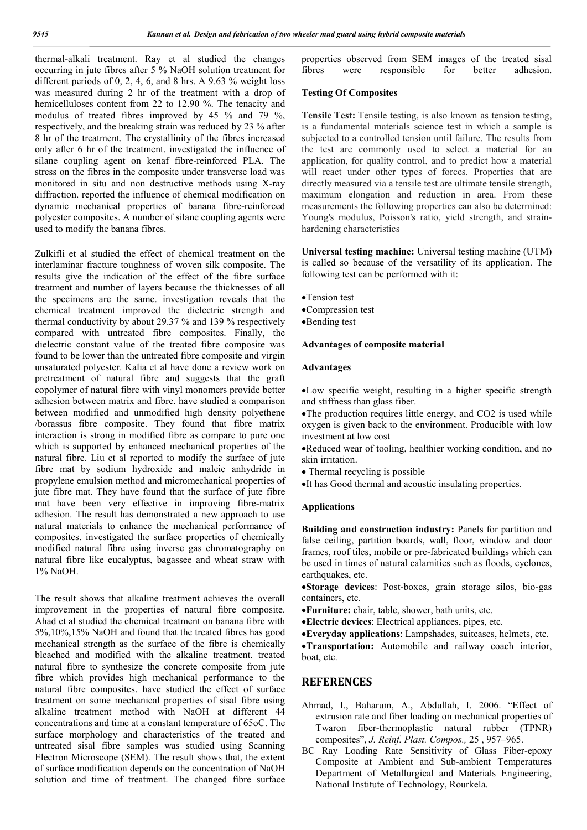thermal-alkali treatment. Ray et al studied the changes occurring in jute fibres after 5 % NaOH solution treatment for different periods of 0, 2, 4, 6, and 8 hrs. A 9.63 % weight loss was measured during 2 hr of the treatment with a drop of hemicelluloses content from 22 to 12.90 %. The tenacity and modulus of treated fibres improved by 45 % and 79 %, respectively, and the breaking strain was reduced by 23 % after 8 hr of the treatment. The crystallinity of the fibres increased only after 6 hr of the treatment. investigated the influence of silane coupling agent on kenaf fibre-reinforced PLA. The stress on the fibres in the composite under transverse load was monitored in situ and non destructive methods using X-ray diffraction. reported the influence of chemical modification on dynamic mechanical properties of banana fibre-reinforced polyester composites. A number of silane coupling agents were used to modify the banana fibres.

Zulkifli et al studied the effect of chemical treatment on the interlaminar fracture toughness of woven silk composite. The results give the indication of the effect of the fibre surface treatment and number of layers because the thicknesses of all the specimens are the same. investigation reveals that the chemical treatment improved the dielectric strength and thermal conductivity by about 29.37 % and 139 % respectively compared with untreated fibre composites. Finally, the dielectric constant value of the treated fibre composite was found to be lower than the untreated fibre composite and virgin unsaturated polyester. Kalia et al have done a review work on pretreatment of natural fibre and suggests that the graft copolymer of natural fibre with vinyl monomers provide better adhesion between matrix and fibre. have studied a comparison between modified and unmodified high density polyethene /borassus fibre composite. They found that fibre matrix interaction is strong in modified fibre as compare to pure one which is supported by enhanced mechanical properties of the natural fibre. Liu et al reported to modify the surface of jute fibre mat by sodium hydroxide and maleic anhydride in propylene emulsion method and micromechanical properties of jute fibre mat. They have found that the surface of jute fibre mat have been very effective in improving fibre-matrix adhesion. The result has demonstrated a new approach to use natural materials to enhance the mechanical performance of composites. investigated the surface properties of chemically modified natural fibre using inverse gas chromatography on natural fibre like eucalyptus, bagassee and wheat straw with 1% NaOH.

The result shows that alkaline treatment achieves the overall improvement in the properties of natural fibre composite. Ahad et al studied the chemical treatment on banana fibre with 5%,10%,15% NaOH and found that the treated fibres has good mechanical strength as the surface of the fibre is chemically bleached and modified with the alkaline treatment. treated natural fibre to synthesize the concrete composite from jute fibre which provides high mechanical performance to the natural fibre composites. have studied the effect of surface treatment on some mechanical properties of sisal fibre using alkaline treatment method with NaOH at different 44 concentrations and time at a constant temperature of 65oC. The surface morphology and characteristics of the treated and untreated sisal fibre samples was studied using Scanning Electron Microscope (SEM). The result shows that, the extent of surface modification depends on the concentration of NaOH solution and time of treatment. The changed fibre surface

properties observed from SEM images of the treated sisal<br>fibres were responsible for better adhesion. responsible for better adhesion.

#### **Testing Of Composites**

**Tensile Test:** Tensile testing, is also known as tension testing, is a fundamental materials science test in which a sample is subjected to a controlled tension until failure. The results from the test are commonly used to select a material for an application, for quality control, and to predict how a material will react under other types of forces. Properties that are directly measured via a tensile test are ultimate tensile strength, maximum elongation and reduction in area. From these measurements the following properties can also be determined: Young's modulus, Poisson's ratio, yield strength, and strainhardening characteristics

**Universal testing machine:** Universal testing machine (UTM) is called so because of the versatility of its application. The following test can be performed with it:

- Tension test
- Compression test
- Bending test

#### **Advantages of composite material**

#### **Advantages**

Low specific weight, resulting in a higher specific strength and stiffness than glass fiber.

The production requires little energy, and CO2 is used while oxygen is given back to the environment. Producible with low investment at low cost

Reduced wear of tooling, healthier working condition, and no skin irritation.

- Thermal recycling is possible
- It has Good thermal and acoustic insulating properties.

#### **Applications**

**Building and construction industry: Panels for partition and** false ceiling, partition boards, wall, floor, window and door frames, roof tiles, mobile or pre-fabricated buildings which can be used in times of natural calamities such as floods, cyclones, earthquakes, etc.

**Storage devices**: Post-boxes, grain storage silos, bio-gas containers, etc.

- **Furniture:** chair, table, shower, bath units, etc.
- **Electric devices**: Electrical appliances, pipes, etc.
- **Everyday applications**: Lampshades, suitcases, helmets, etc.

**Transportation:** Automobile and railway coach interior, boat, etc.

### **REFERENCES**

- Ahmad, I., Baharum, A., Abdullah, I. 2006. "Effect of extrusion rate and fiber loading on mechanical properties of Twaron fiber-thermoplastic natural rubber (TPNR) composites", *J. Reinf. Plast. Compos.,* 25 , 957–965.
- BC Ray Loading Rate Sensitivity of Glass Fiber-epoxy Composite at Ambient and Sub-ambient Temperatures Department of Metallurgical and Materials Engineering, National Institute of Technology, Rourkela.